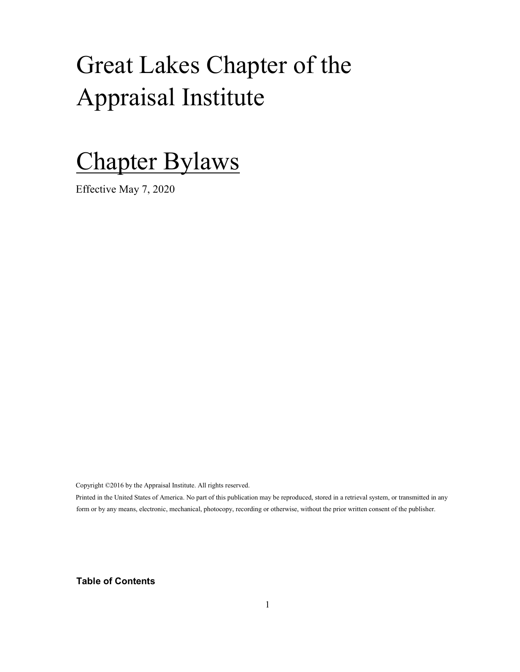# Great Lakes Chapter of the Appraisal Institute

# Chapter Bylaws

Effective May 7, 2020

Copyright ©2016 by the Appraisal Institute. All rights reserved.

Printed in the United States of America. No part of this publication may be reproduced, stored in a retrieval system, or transmitted in any form or by any means, electronic, mechanical, photocopy, recording or otherwise, without the prior written consent of the publisher.

Table of Contents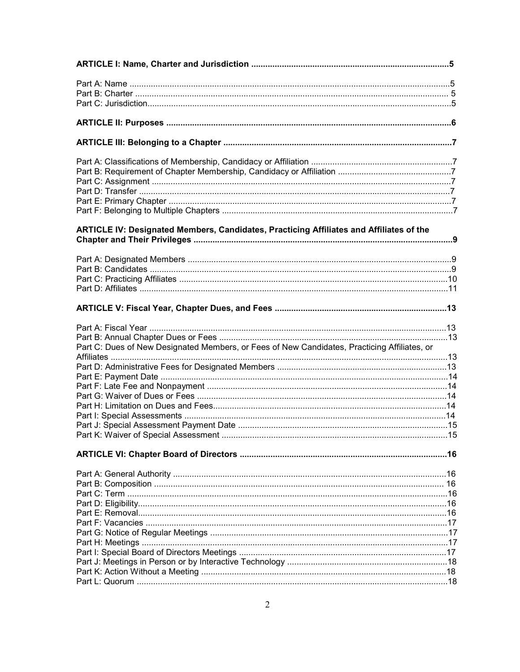| ARTICLE IV: Designated Members, Candidates, Practicing Affiliates and Affiliates of the      |  |
|----------------------------------------------------------------------------------------------|--|
|                                                                                              |  |
|                                                                                              |  |
|                                                                                              |  |
|                                                                                              |  |
|                                                                                              |  |
|                                                                                              |  |
|                                                                                              |  |
| Part C: Dues of New Designated Members, or Fees of New Candidates, Practicing Affiliates, or |  |
|                                                                                              |  |
|                                                                                              |  |
|                                                                                              |  |
|                                                                                              |  |
|                                                                                              |  |
|                                                                                              |  |
|                                                                                              |  |
|                                                                                              |  |
|                                                                                              |  |
|                                                                                              |  |
|                                                                                              |  |
|                                                                                              |  |
|                                                                                              |  |
|                                                                                              |  |
|                                                                                              |  |
|                                                                                              |  |
|                                                                                              |  |
|                                                                                              |  |
|                                                                                              |  |
|                                                                                              |  |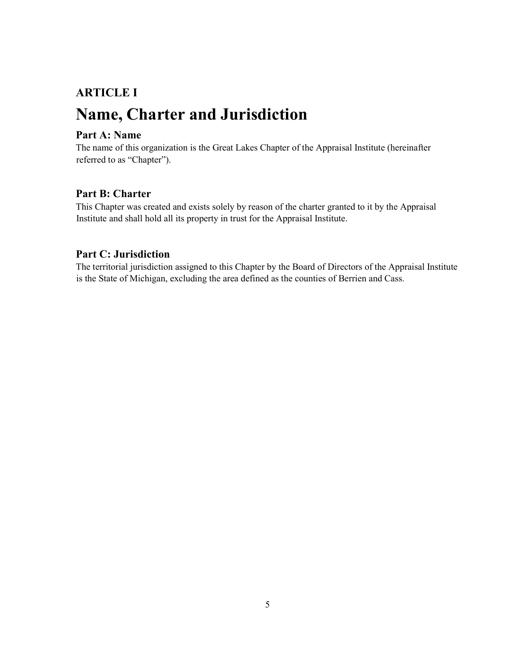# ARTICLE I Name, Charter and Jurisdiction

### Part A: Name

The name of this organization is the Great Lakes Chapter of the Appraisal Institute (hereinafter referred to as "Chapter").

# Part B: Charter

This Chapter was created and exists solely by reason of the charter granted to it by the Appraisal Institute and shall hold all its property in trust for the Appraisal Institute.

### Part C: Jurisdiction

The territorial jurisdiction assigned to this Chapter by the Board of Directors of the Appraisal Institute is the State of Michigan, excluding the area defined as the counties of Berrien and Cass.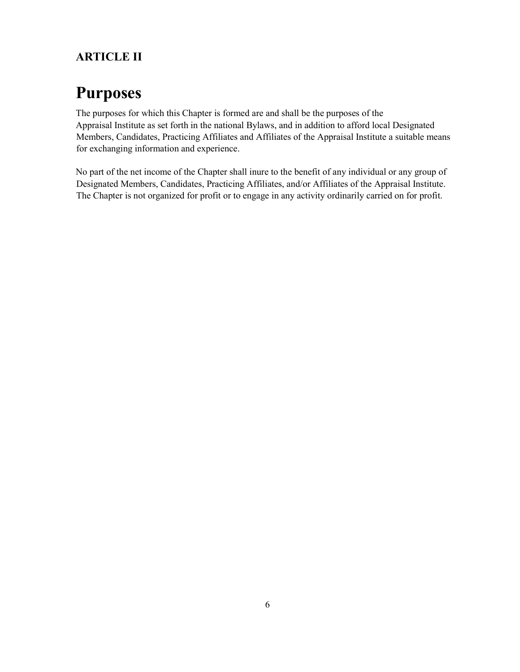# ARTICLE II

# Purposes

The purposes for which this Chapter is formed are and shall be the purposes of the Appraisal Institute as set forth in the national Bylaws, and in addition to afford local Designated Members, Candidates, Practicing Affiliates and Affiliates of the Appraisal Institute a suitable means for exchanging information and experience.

No part of the net income of the Chapter shall inure to the benefit of any individual or any group of Designated Members, Candidates, Practicing Affiliates, and/or Affiliates of the Appraisal Institute. The Chapter is not organized for profit or to engage in any activity ordinarily carried on for profit.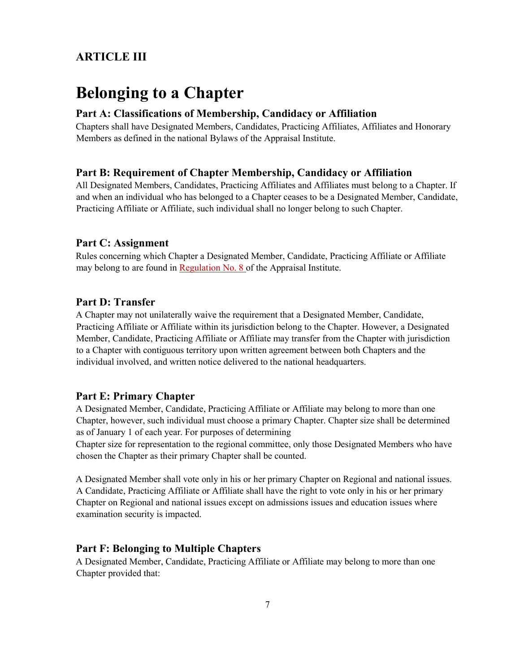# ARTICLE III

# Belonging to a Chapter

#### Part A: Classifications of Membership, Candidacy or Affiliation

Chapters shall have Designated Members, Candidates, Practicing Affiliates, Affiliates and Honorary Members as defined in the national Bylaws of the Appraisal Institute.

#### Part B: Requirement of Chapter Membership, Candidacy or Affiliation

All Designated Members, Candidates, Practicing Affiliates and Affiliates must belong to a Chapter. If and when an individual who has belonged to a Chapter ceases to be a Designated Member, Candidate, Practicing Affiliate or Affiliate, such individual shall no longer belong to such Chapter.

#### Part C: Assignment

Rules concerning which Chapter a Designated Member, Candidate, Practicing Affiliate or Affiliate may belong to are found in Regulation No. 8 of the Appraisal Institute.

#### Part D: Transfer

A Chapter may not unilaterally waive the requirement that a Designated Member, Candidate, Practicing Affiliate or Affiliate within its jurisdiction belong to the Chapter. However, a Designated Member, Candidate, Practicing Affiliate or Affiliate may transfer from the Chapter with jurisdiction to a Chapter with contiguous territory upon written agreement between both Chapters and the individual involved, and written notice delivered to the national headquarters.

#### Part E: Primary Chapter

A Designated Member, Candidate, Practicing Affiliate or Affiliate may belong to more than one Chapter, however, such individual must choose a primary Chapter. Chapter size shall be determined as of January 1 of each year. For purposes of determining

Chapter size for representation to the regional committee, only those Designated Members who have chosen the Chapter as their primary Chapter shall be counted.

A Designated Member shall vote only in his or her primary Chapter on Regional and national issues. A Candidate, Practicing Affiliate or Affiliate shall have the right to vote only in his or her primary Chapter on Regional and national issues except on admissions issues and education issues where examination security is impacted.

#### Part F: Belonging to Multiple Chapters

A Designated Member, Candidate, Practicing Affiliate or Affiliate may belong to more than one Chapter provided that: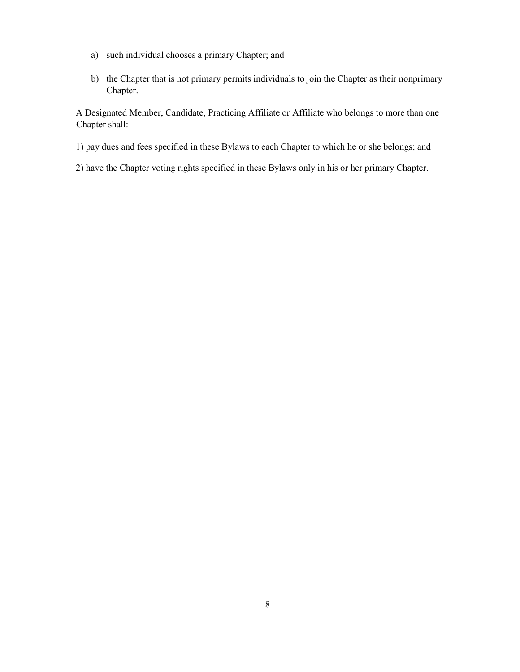- a) such individual chooses a primary Chapter; and
- b) the Chapter that is not primary permits individuals to join the Chapter as their nonprimary Chapter.

A Designated Member, Candidate, Practicing Affiliate or Affiliate who belongs to more than one Chapter shall:

- 1) pay dues and fees specified in these Bylaws to each Chapter to which he or she belongs; and
- 2) have the Chapter voting rights specified in these Bylaws only in his or her primary Chapter.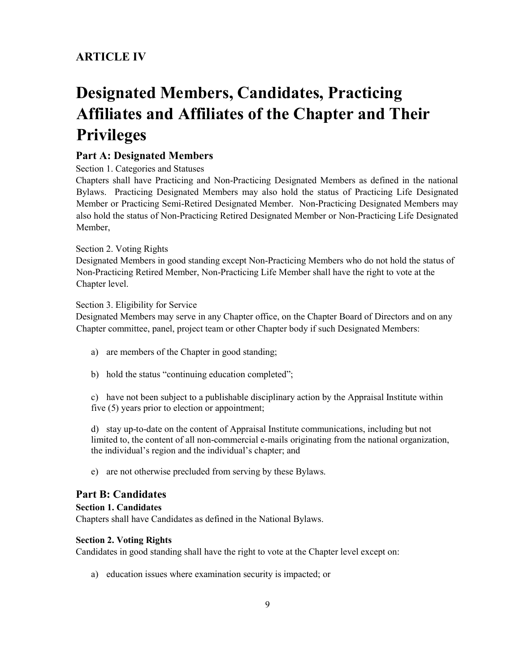# ARTICLE IV

# Designated Members, Candidates, Practicing Affiliates and Affiliates of the Chapter and Their Privileges

### Part A: Designated Members

Section 1. Categories and Statuses

Chapters shall have Practicing and Non-Practicing Designated Members as defined in the national Bylaws. Practicing Designated Members may also hold the status of Practicing Life Designated Member or Practicing Semi-Retired Designated Member. Non-Practicing Designated Members may also hold the status of Non-Practicing Retired Designated Member or Non-Practicing Life Designated Member,

#### Section 2. Voting Rights

Designated Members in good standing except Non-Practicing Members who do not hold the status of Non-Practicing Retired Member, Non-Practicing Life Member shall have the right to vote at the Chapter level.

#### Section 3. Eligibility for Service

Designated Members may serve in any Chapter office, on the Chapter Board of Directors and on any Chapter committee, panel, project team or other Chapter body if such Designated Members:

- a) are members of the Chapter in good standing;
- b) hold the status "continuing education completed";

c) have not been subject to a publishable disciplinary action by the Appraisal Institute within five (5) years prior to election or appointment;

d) stay up-to-date on the content of Appraisal Institute communications, including but not limited to, the content of all non-commercial e-mails originating from the national organization, the individual's region and the individual's chapter; and

e) are not otherwise precluded from serving by these Bylaws.

### Part B: Candidates

#### Section 1. Candidates

Chapters shall have Candidates as defined in the National Bylaws.

#### Section 2. Voting Rights

Candidates in good standing shall have the right to vote at the Chapter level except on:

a) education issues where examination security is impacted; or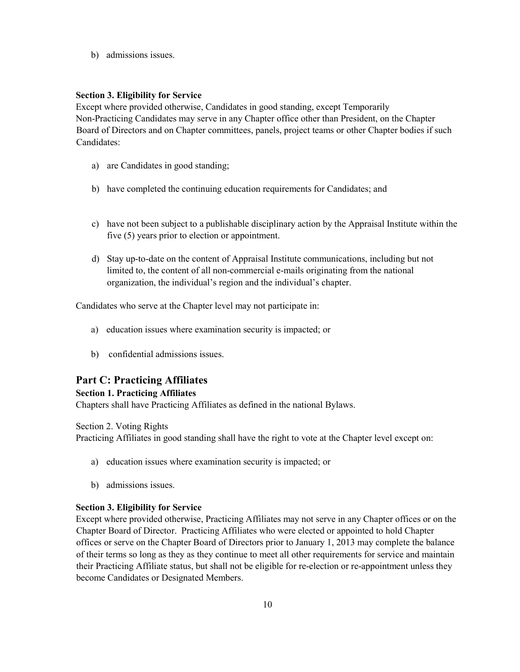b) admissions issues.

#### Section 3. Eligibility for Service

Except where provided otherwise, Candidates in good standing, except Temporarily Non-Practicing Candidates may serve in any Chapter office other than President, on the Chapter Board of Directors and on Chapter committees, panels, project teams or other Chapter bodies if such Candidates:

- a) are Candidates in good standing;
- b) have completed the continuing education requirements for Candidates; and
- c) have not been subject to a publishable disciplinary action by the Appraisal Institute within the five (5) years prior to election or appointment.
- d) Stay up-to-date on the content of Appraisal Institute communications, including but not limited to, the content of all non-commercial e-mails originating from the national organization, the individual's region and the individual's chapter.

Candidates who serve at the Chapter level may not participate in:

- a) education issues where examination security is impacted; or
- b) confidential admissions issues.

#### Part C: Practicing Affiliates

#### Section 1. Practicing Affiliates

Chapters shall have Practicing Affiliates as defined in the national Bylaws.

Section 2. Voting Rights

Practicing Affiliates in good standing shall have the right to vote at the Chapter level except on:

- a) education issues where examination security is impacted; or
- b) admissions issues.

#### Section 3. Eligibility for Service

Except where provided otherwise, Practicing Affiliates may not serve in any Chapter offices or on the Chapter Board of Director. Practicing Affiliates who were elected or appointed to hold Chapter offices or serve on the Chapter Board of Directors prior to January 1, 2013 may complete the balance of their terms so long as they as they continue to meet all other requirements for service and maintain their Practicing Affiliate status, but shall not be eligible for re-election or re-appointment unless they become Candidates or Designated Members.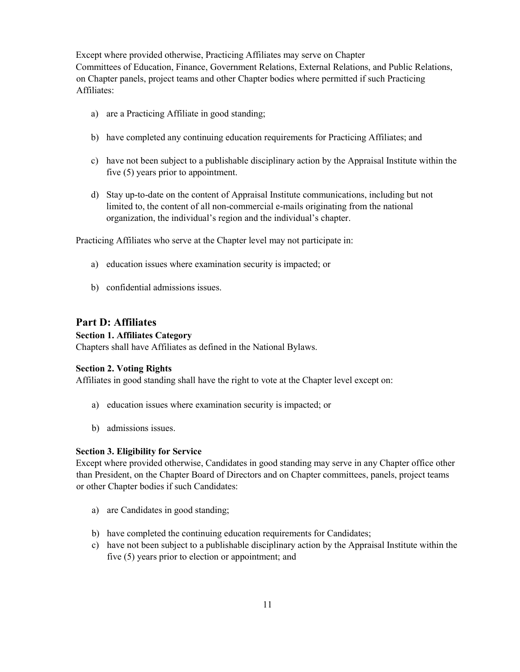Except where provided otherwise, Practicing Affiliates may serve on Chapter Committees of Education, Finance, Government Relations, External Relations, and Public Relations, on Chapter panels, project teams and other Chapter bodies where permitted if such Practicing Affiliates:

- a) are a Practicing Affiliate in good standing;
- b) have completed any continuing education requirements for Practicing Affiliates; and
- c) have not been subject to a publishable disciplinary action by the Appraisal Institute within the five (5) years prior to appointment.
- d) Stay up-to-date on the content of Appraisal Institute communications, including but not limited to, the content of all non-commercial e-mails originating from the national organization, the individual's region and the individual's chapter.

Practicing Affiliates who serve at the Chapter level may not participate in:

- a) education issues where examination security is impacted; or
- b) confidential admissions issues.

### Part D: Affiliates

#### Section 1. Affiliates Category

Chapters shall have Affiliates as defined in the National Bylaws.

#### Section 2. Voting Rights

Affiliates in good standing shall have the right to vote at the Chapter level except on:

- a) education issues where examination security is impacted; or
- b) admissions issues.

#### Section 3. Eligibility for Service

Except where provided otherwise, Candidates in good standing may serve in any Chapter office other than President, on the Chapter Board of Directors and on Chapter committees, panels, project teams or other Chapter bodies if such Candidates:

- a) are Candidates in good standing;
- b) have completed the continuing education requirements for Candidates;
- c) have not been subject to a publishable disciplinary action by the Appraisal Institute within the five (5) years prior to election or appointment; and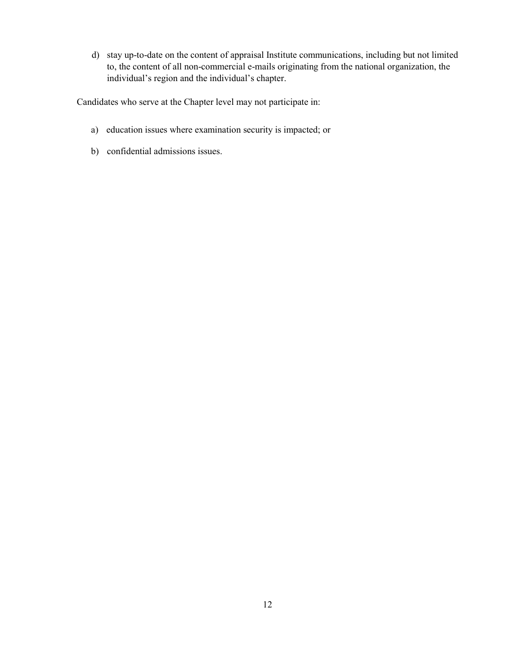d) stay up-to-date on the content of appraisal Institute communications, including but not limited to, the content of all non-commercial e-mails originating from the national organization, the individual's region and the individual's chapter.

Candidates who serve at the Chapter level may not participate in:

- a) education issues where examination security is impacted; or
- b) confidential admissions issues.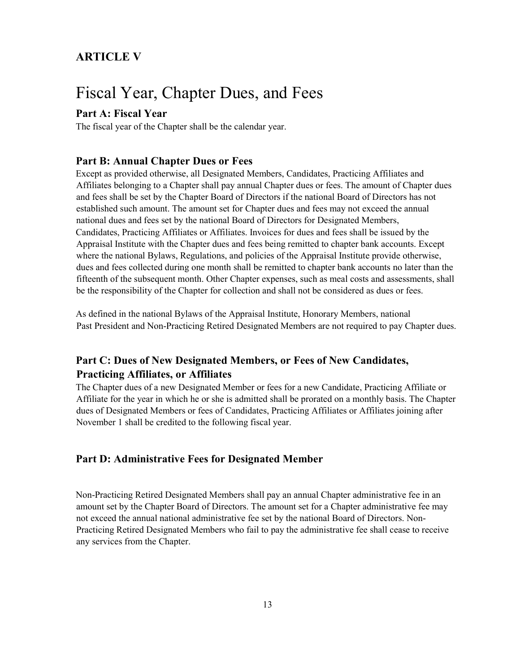# ARTICLE V

# Fiscal Year, Chapter Dues, and Fees

### Part A: Fiscal Year

The fiscal year of the Chapter shall be the calendar year.

#### Part B: Annual Chapter Dues or Fees

Except as provided otherwise, all Designated Members, Candidates, Practicing Affiliates and Affiliates belonging to a Chapter shall pay annual Chapter dues or fees. The amount of Chapter dues and fees shall be set by the Chapter Board of Directors if the national Board of Directors has not established such amount. The amount set for Chapter dues and fees may not exceed the annual national dues and fees set by the national Board of Directors for Designated Members, Candidates, Practicing Affiliates or Affiliates. Invoices for dues and fees shall be issued by the Appraisal Institute with the Chapter dues and fees being remitted to chapter bank accounts. Except where the national Bylaws, Regulations, and policies of the Appraisal Institute provide otherwise, dues and fees collected during one month shall be remitted to chapter bank accounts no later than the fifteenth of the subsequent month. Other Chapter expenses, such as meal costs and assessments, shall be the responsibility of the Chapter for collection and shall not be considered as dues or fees.

As defined in the national Bylaws of the Appraisal Institute, Honorary Members, national Past President and Non-Practicing Retired Designated Members are not required to pay Chapter dues.

# Part C: Dues of New Designated Members, or Fees of New Candidates, Practicing Affiliates, or Affiliates

The Chapter dues of a new Designated Member or fees for a new Candidate, Practicing Affiliate or Affiliate for the year in which he or she is admitted shall be prorated on a monthly basis. The Chapter dues of Designated Members or fees of Candidates, Practicing Affiliates or Affiliates joining after November 1 shall be credited to the following fiscal year.

### Part D: Administrative Fees for Designated Member

Non-Practicing Retired Designated Members shall pay an annual Chapter administrative fee in an amount set by the Chapter Board of Directors. The amount set for a Chapter administrative fee may not exceed the annual national administrative fee set by the national Board of Directors. Non-Practicing Retired Designated Members who fail to pay the administrative fee shall cease to receive any services from the Chapter.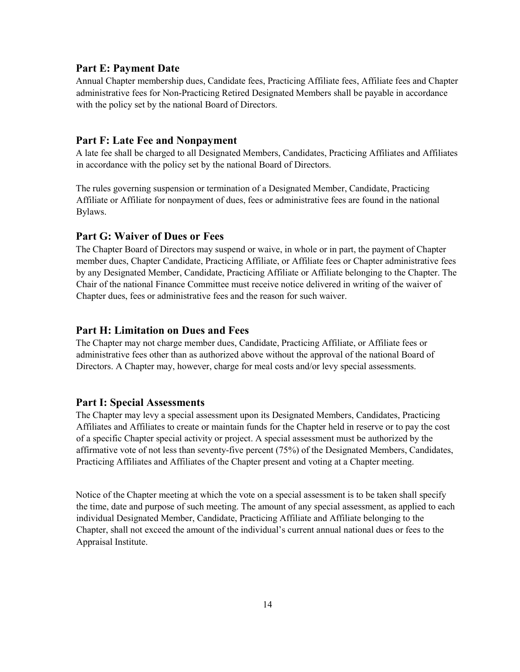#### Part E: Payment Date

Annual Chapter membership dues, Candidate fees, Practicing Affiliate fees, Affiliate fees and Chapter administrative fees for Non-Practicing Retired Designated Members shall be payable in accordance with the policy set by the national Board of Directors.

#### Part F: Late Fee and Nonpayment

A late fee shall be charged to all Designated Members, Candidates, Practicing Affiliates and Affiliates in accordance with the policy set by the national Board of Directors.

The rules governing suspension or termination of a Designated Member, Candidate, Practicing Affiliate or Affiliate for nonpayment of dues, fees or administrative fees are found in the national Bylaws.

#### Part G: Waiver of Dues or Fees

The Chapter Board of Directors may suspend or waive, in whole or in part, the payment of Chapter member dues, Chapter Candidate, Practicing Affiliate, or Affiliate fees or Chapter administrative fees by any Designated Member, Candidate, Practicing Affiliate or Affiliate belonging to the Chapter. The Chair of the national Finance Committee must receive notice delivered in writing of the waiver of Chapter dues, fees or administrative fees and the reason for such waiver.

#### Part H: Limitation on Dues and Fees

The Chapter may not charge member dues, Candidate, Practicing Affiliate, or Affiliate fees or administrative fees other than as authorized above without the approval of the national Board of Directors. A Chapter may, however, charge for meal costs and/or levy special assessments.

#### Part I: Special Assessments

The Chapter may levy a special assessment upon its Designated Members, Candidates, Practicing Affiliates and Affiliates to create or maintain funds for the Chapter held in reserve or to pay the cost of a specific Chapter special activity or project. A special assessment must be authorized by the affirmative vote of not less than seventy-five percent (75%) of the Designated Members, Candidates, Practicing Affiliates and Affiliates of the Chapter present and voting at a Chapter meeting.

Notice of the Chapter meeting at which the vote on a special assessment is to be taken shall specify the time, date and purpose of such meeting. The amount of any special assessment, as applied to each individual Designated Member, Candidate, Practicing Affiliate and Affiliate belonging to the Chapter, shall not exceed the amount of the individual's current annual national dues or fees to the Appraisal Institute.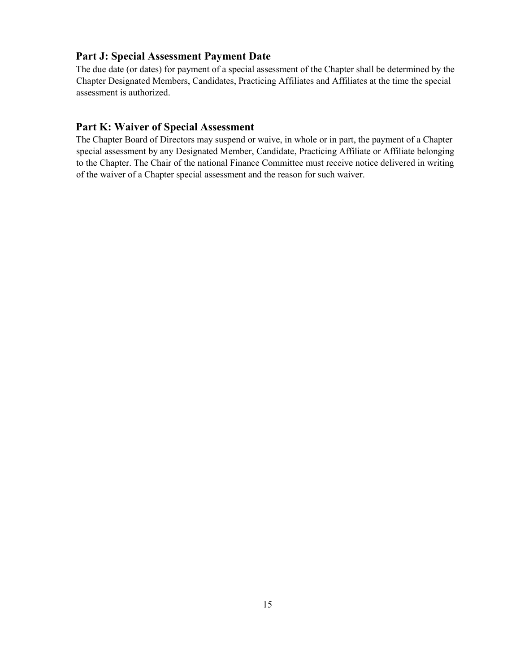#### Part J: Special Assessment Payment Date

The due date (or dates) for payment of a special assessment of the Chapter shall be determined by the Chapter Designated Members, Candidates, Practicing Affiliates and Affiliates at the time the special assessment is authorized.

## Part K: Waiver of Special Assessment

The Chapter Board of Directors may suspend or waive, in whole or in part, the payment of a Chapter special assessment by any Designated Member, Candidate, Practicing Affiliate or Affiliate belonging to the Chapter. The Chair of the national Finance Committee must receive notice delivered in writing of the waiver of a Chapter special assessment and the reason for such waiver.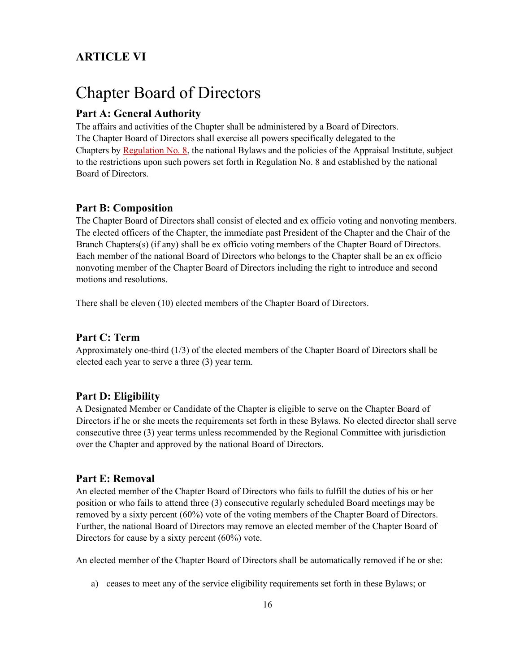# ARTICLE VI

# Chapter Board of Directors

### Part A: General Authority

The affairs and activities of the Chapter shall be administered by a Board of Directors. The Chapter Board of Directors shall exercise all powers specifically delegated to the Chapters by Regulation No. 8, the national Bylaws and the policies of the Appraisal Institute, subject to the restrictions upon such powers set forth in Regulation No. 8 and established by the national Board of Directors.

#### Part B: Composition

The Chapter Board of Directors shall consist of elected and ex officio voting and nonvoting members. The elected officers of the Chapter, the immediate past President of the Chapter and the Chair of the Branch Chapters(s) (if any) shall be ex officio voting members of the Chapter Board of Directors. Each member of the national Board of Directors who belongs to the Chapter shall be an ex officio nonvoting member of the Chapter Board of Directors including the right to introduce and second motions and resolutions.

There shall be eleven (10) elected members of the Chapter Board of Directors.

#### Part C: Term

Approximately one-third (1/3) of the elected members of the Chapter Board of Directors shall be elected each year to serve a three (3) year term.

#### Part D: Eligibility

A Designated Member or Candidate of the Chapter is eligible to serve on the Chapter Board of Directors if he or she meets the requirements set forth in these Bylaws. No elected director shall serve consecutive three (3) year terms unless recommended by the Regional Committee with jurisdiction over the Chapter and approved by the national Board of Directors.

#### Part E: Removal

An elected member of the Chapter Board of Directors who fails to fulfill the duties of his or her position or who fails to attend three (3) consecutive regularly scheduled Board meetings may be removed by a sixty percent (60%) vote of the voting members of the Chapter Board of Directors. Further, the national Board of Directors may remove an elected member of the Chapter Board of Directors for cause by a sixty percent (60%) vote.

An elected member of the Chapter Board of Directors shall be automatically removed if he or she:

a) ceases to meet any of the service eligibility requirements set forth in these Bylaws; or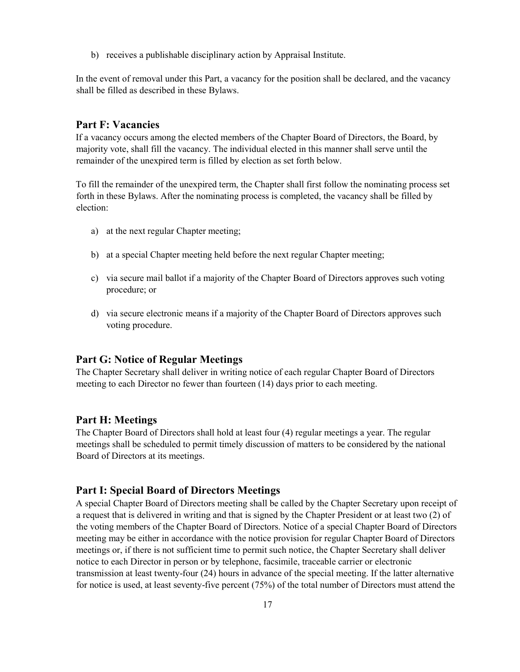b) receives a publishable disciplinary action by Appraisal Institute.

In the event of removal under this Part, a vacancy for the position shall be declared, and the vacancy shall be filled as described in these Bylaws.

#### Part F: Vacancies

If a vacancy occurs among the elected members of the Chapter Board of Directors, the Board, by majority vote, shall fill the vacancy. The individual elected in this manner shall serve until the remainder of the unexpired term is filled by election as set forth below.

To fill the remainder of the unexpired term, the Chapter shall first follow the nominating process set forth in these Bylaws. After the nominating process is completed, the vacancy shall be filled by election:

- a) at the next regular Chapter meeting;
- b) at a special Chapter meeting held before the next regular Chapter meeting;
- c) via secure mail ballot if a majority of the Chapter Board of Directors approves such voting procedure; or
- d) via secure electronic means if a majority of the Chapter Board of Directors approves such voting procedure.

#### Part G: Notice of Regular Meetings

The Chapter Secretary shall deliver in writing notice of each regular Chapter Board of Directors meeting to each Director no fewer than fourteen (14) days prior to each meeting.

#### Part H: Meetings

The Chapter Board of Directors shall hold at least four (4) regular meetings a year. The regular meetings shall be scheduled to permit timely discussion of matters to be considered by the national Board of Directors at its meetings.

#### Part I: Special Board of Directors Meetings

A special Chapter Board of Directors meeting shall be called by the Chapter Secretary upon receipt of a request that is delivered in writing and that is signed by the Chapter President or at least two (2) of the voting members of the Chapter Board of Directors. Notice of a special Chapter Board of Directors meeting may be either in accordance with the notice provision for regular Chapter Board of Directors meetings or, if there is not sufficient time to permit such notice, the Chapter Secretary shall deliver notice to each Director in person or by telephone, facsimile, traceable carrier or electronic transmission at least twenty-four (24) hours in advance of the special meeting. If the latter alternative for notice is used, at least seventy-five percent (75%) of the total number of Directors must attend the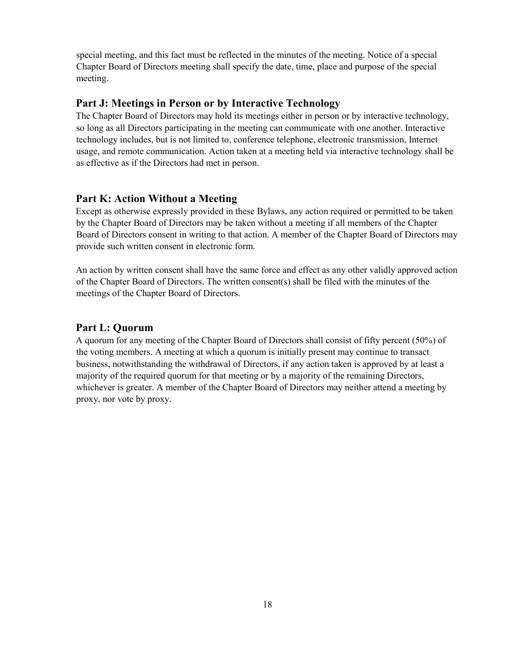special meeting, and this fact must be reflected in the minutes of the meeting. Notice of a special Chapter Board of Directors meeting shall specify the date, time, place and purpose of the special meeting.

#### Part J: Meetings in Person or by Interactive Technology

The Chapter Board of Directors may hold its meetings either in person or by interactive technology, so long as all Directors participating in the meeting can communicate with one another. Interactive technology includes, but is not limited to, conference telephone, electronic transmission, Internet usage, and remote communication. Action taken at a meeting held via interactive technology shall be as effective as if the Directors had met in person.

#### Part K: Action Without a Meeting

Except as otherwise expressly provided in these Bylaws, any action required or permitted to be taken by the Chapter Board of Directors may be taken without a meeting if all members of the Chapter Board of Directors consent in writing to that action. A member of the Chapter Board of Directors may provide such written consent in electronic form.

An action by written consent shall have the same force and effect as any other validly approved action of the Chapter Board of Directors. The written consent(s) shall be filed with the minutes of the meetings of the Chapter Board of Directors.

#### Part L: Quorum

A quorum for any meeting of the Chapter Board of Directors shall consist of fifty percent (50%) of the voting members. A meeting at which a quorum is initially present may continue to transact business, notwithstanding the withdrawal of Directors, if any action taken is approved by at least a majority of the required quorum for that meeting or by a majority of the remaining Directors, whichever is greater. A member of the Chapter Board of Directors may neither attend a meeting by proxy, nor vote by proxy.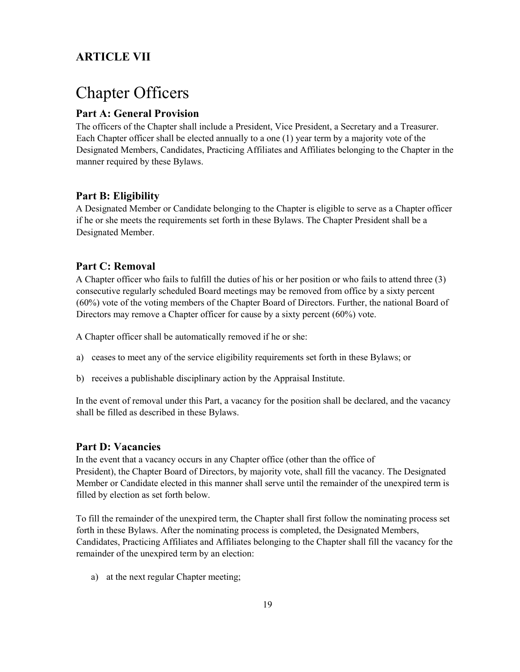# ARTICLE VII

# Chapter Officers

## Part A: General Provision

The officers of the Chapter shall include a President, Vice President, a Secretary and a Treasurer. Each Chapter officer shall be elected annually to a one (1) year term by a majority vote of the Designated Members, Candidates, Practicing Affiliates and Affiliates belonging to the Chapter in the manner required by these Bylaws.

### Part B: Eligibility

A Designated Member or Candidate belonging to the Chapter is eligible to serve as a Chapter officer if he or she meets the requirements set forth in these Bylaws. The Chapter President shall be a Designated Member.

#### Part C: Removal

A Chapter officer who fails to fulfill the duties of his or her position or who fails to attend three (3) consecutive regularly scheduled Board meetings may be removed from office by a sixty percent (60%) vote of the voting members of the Chapter Board of Directors. Further, the national Board of Directors may remove a Chapter officer for cause by a sixty percent (60%) vote.

A Chapter officer shall be automatically removed if he or she:

- a) ceases to meet any of the service eligibility requirements set forth in these Bylaws; or
- b) receives a publishable disciplinary action by the Appraisal Institute.

In the event of removal under this Part, a vacancy for the position shall be declared, and the vacancy shall be filled as described in these Bylaws.

#### Part D: Vacancies

In the event that a vacancy occurs in any Chapter office (other than the office of President), the Chapter Board of Directors, by majority vote, shall fill the vacancy. The Designated Member or Candidate elected in this manner shall serve until the remainder of the unexpired term is filled by election as set forth below.

To fill the remainder of the unexpired term, the Chapter shall first follow the nominating process set forth in these Bylaws. After the nominating process is completed, the Designated Members, Candidates, Practicing Affiliates and Affiliates belonging to the Chapter shall fill the vacancy for the remainder of the unexpired term by an election:

a) at the next regular Chapter meeting;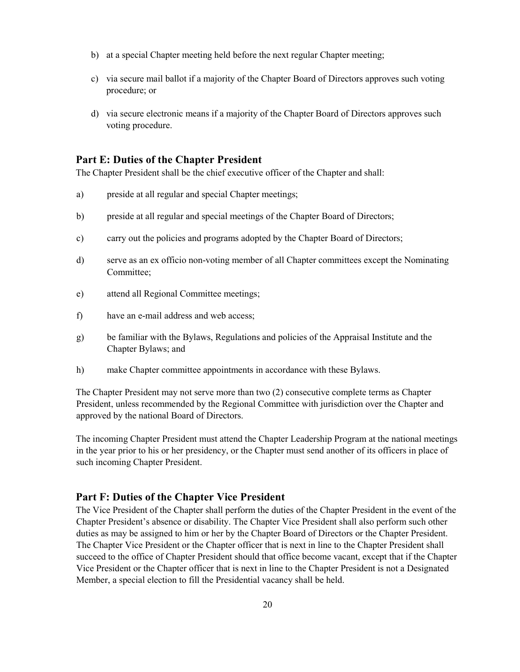- b) at a special Chapter meeting held before the next regular Chapter meeting;
- c) via secure mail ballot if a majority of the Chapter Board of Directors approves such voting procedure; or
- d) via secure electronic means if a majority of the Chapter Board of Directors approves such voting procedure.

#### Part E: Duties of the Chapter President

The Chapter President shall be the chief executive officer of the Chapter and shall:

- a) preside at all regular and special Chapter meetings;
- b) preside at all regular and special meetings of the Chapter Board of Directors;
- c) carry out the policies and programs adopted by the Chapter Board of Directors;
- d) serve as an ex officio non-voting member of all Chapter committees except the Nominating Committee;
- e) attend all Regional Committee meetings;
- f) have an e-mail address and web access;
- g) be familiar with the Bylaws, Regulations and policies of the Appraisal Institute and the Chapter Bylaws; and
- h) make Chapter committee appointments in accordance with these Bylaws.

The Chapter President may not serve more than two (2) consecutive complete terms as Chapter President, unless recommended by the Regional Committee with jurisdiction over the Chapter and approved by the national Board of Directors.

The incoming Chapter President must attend the Chapter Leadership Program at the national meetings in the year prior to his or her presidency, or the Chapter must send another of its officers in place of such incoming Chapter President.

#### Part F: Duties of the Chapter Vice President

The Vice President of the Chapter shall perform the duties of the Chapter President in the event of the Chapter President's absence or disability. The Chapter Vice President shall also perform such other duties as may be assigned to him or her by the Chapter Board of Directors or the Chapter President. The Chapter Vice President or the Chapter officer that is next in line to the Chapter President shall succeed to the office of Chapter President should that office become vacant, except that if the Chapter Vice President or the Chapter officer that is next in line to the Chapter President is not a Designated Member, a special election to fill the Presidential vacancy shall be held.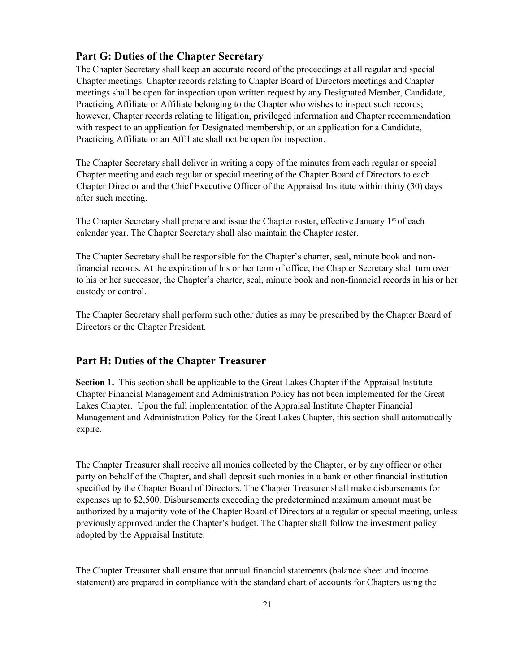#### Part G: Duties of the Chapter Secretary

The Chapter Secretary shall keep an accurate record of the proceedings at all regular and special Chapter meetings. Chapter records relating to Chapter Board of Directors meetings and Chapter meetings shall be open for inspection upon written request by any Designated Member, Candidate, Practicing Affiliate or Affiliate belonging to the Chapter who wishes to inspect such records; however, Chapter records relating to litigation, privileged information and Chapter recommendation with respect to an application for Designated membership, or an application for a Candidate, Practicing Affiliate or an Affiliate shall not be open for inspection.

The Chapter Secretary shall deliver in writing a copy of the minutes from each regular or special Chapter meeting and each regular or special meeting of the Chapter Board of Directors to each Chapter Director and the Chief Executive Officer of the Appraisal Institute within thirty (30) days after such meeting.

The Chapter Secretary shall prepare and issue the Chapter roster, effective January 1<sup>st</sup> of each calendar year. The Chapter Secretary shall also maintain the Chapter roster.

The Chapter Secretary shall be responsible for the Chapter's charter, seal, minute book and nonfinancial records. At the expiration of his or her term of office, the Chapter Secretary shall turn over to his or her successor, the Chapter's charter, seal, minute book and non-financial records in his or her custody or control.

The Chapter Secretary shall perform such other duties as may be prescribed by the Chapter Board of Directors or the Chapter President.

#### Part H: Duties of the Chapter Treasurer

Section 1. This section shall be applicable to the Great Lakes Chapter if the Appraisal Institute Chapter Financial Management and Administration Policy has not been implemented for the Great Lakes Chapter. Upon the full implementation of the Appraisal Institute Chapter Financial Management and Administration Policy for the Great Lakes Chapter, this section shall automatically expire.

The Chapter Treasurer shall receive all monies collected by the Chapter, or by any officer or other party on behalf of the Chapter, and shall deposit such monies in a bank or other financial institution specified by the Chapter Board of Directors. The Chapter Treasurer shall make disbursements for expenses up to \$2,500. Disbursements exceeding the predetermined maximum amount must be authorized by a majority vote of the Chapter Board of Directors at a regular or special meeting, unless previously approved under the Chapter's budget. The Chapter shall follow the investment policy adopted by the Appraisal Institute.

The Chapter Treasurer shall ensure that annual financial statements (balance sheet and income statement) are prepared in compliance with the standard chart of accounts for Chapters using the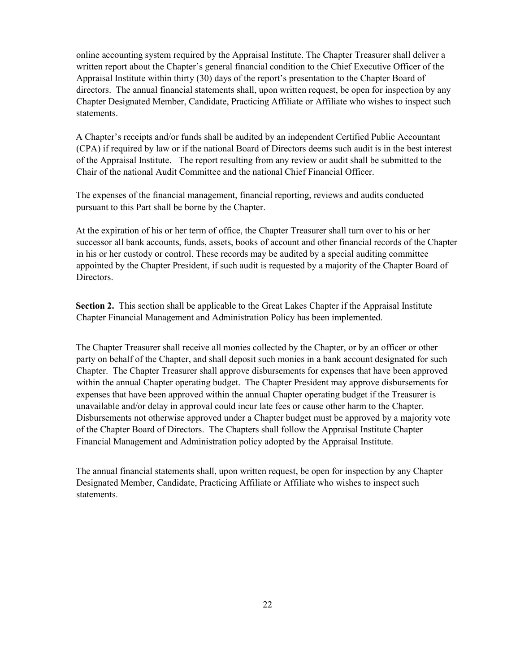online accounting system required by the Appraisal Institute. The Chapter Treasurer shall deliver a written report about the Chapter's general financial condition to the Chief Executive Officer of the Appraisal Institute within thirty (30) days of the report's presentation to the Chapter Board of directors. The annual financial statements shall, upon written request, be open for inspection by any Chapter Designated Member, Candidate, Practicing Affiliate or Affiliate who wishes to inspect such statements.

A Chapter's receipts and/or funds shall be audited by an independent Certified Public Accountant (CPA) if required by law or if the national Board of Directors deems such audit is in the best interest of the Appraisal Institute. The report resulting from any review or audit shall be submitted to the Chair of the national Audit Committee and the national Chief Financial Officer.

The expenses of the financial management, financial reporting, reviews and audits conducted pursuant to this Part shall be borne by the Chapter.

At the expiration of his or her term of office, the Chapter Treasurer shall turn over to his or her successor all bank accounts, funds, assets, books of account and other financial records of the Chapter in his or her custody or control. These records may be audited by a special auditing committee appointed by the Chapter President, if such audit is requested by a majority of the Chapter Board of Directors.

Section 2. This section shall be applicable to the Great Lakes Chapter if the Appraisal Institute Chapter Financial Management and Administration Policy has been implemented.

The Chapter Treasurer shall receive all monies collected by the Chapter, or by an officer or other party on behalf of the Chapter, and shall deposit such monies in a bank account designated for such Chapter. The Chapter Treasurer shall approve disbursements for expenses that have been approved within the annual Chapter operating budget. The Chapter President may approve disbursements for expenses that have been approved within the annual Chapter operating budget if the Treasurer is unavailable and/or delay in approval could incur late fees or cause other harm to the Chapter. Disbursements not otherwise approved under a Chapter budget must be approved by a majority vote of the Chapter Board of Directors. The Chapters shall follow the Appraisal Institute Chapter Financial Management and Administration policy adopted by the Appraisal Institute.

The annual financial statements shall, upon written request, be open for inspection by any Chapter Designated Member, Candidate, Practicing Affiliate or Affiliate who wishes to inspect such statements.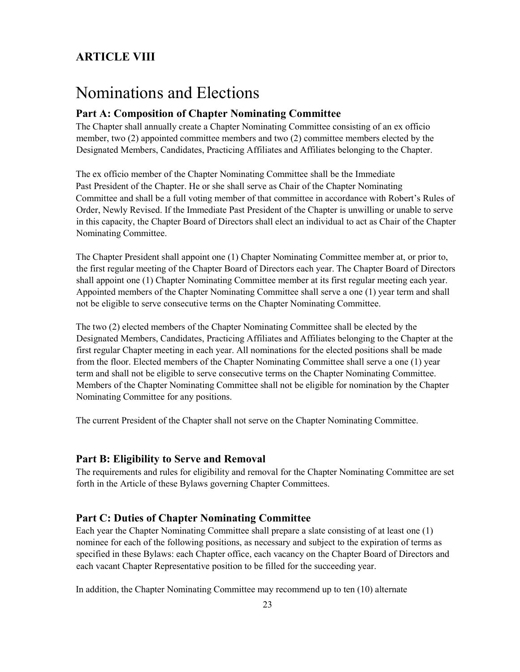# ARTICLE VIII

# Nominations and Elections

#### Part A: Composition of Chapter Nominating Committee

The Chapter shall annually create a Chapter Nominating Committee consisting of an ex officio member, two (2) appointed committee members and two (2) committee members elected by the Designated Members, Candidates, Practicing Affiliates and Affiliates belonging to the Chapter.

The ex officio member of the Chapter Nominating Committee shall be the Immediate Past President of the Chapter. He or she shall serve as Chair of the Chapter Nominating Committee and shall be a full voting member of that committee in accordance with Robert's Rules of Order, Newly Revised. If the Immediate Past President of the Chapter is unwilling or unable to serve in this capacity, the Chapter Board of Directors shall elect an individual to act as Chair of the Chapter Nominating Committee.

The Chapter President shall appoint one (1) Chapter Nominating Committee member at, or prior to, the first regular meeting of the Chapter Board of Directors each year. The Chapter Board of Directors shall appoint one (1) Chapter Nominating Committee member at its first regular meeting each year. Appointed members of the Chapter Nominating Committee shall serve a one (1) year term and shall not be eligible to serve consecutive terms on the Chapter Nominating Committee.

The two (2) elected members of the Chapter Nominating Committee shall be elected by the Designated Members, Candidates, Practicing Affiliates and Affiliates belonging to the Chapter at the first regular Chapter meeting in each year. All nominations for the elected positions shall be made from the floor. Elected members of the Chapter Nominating Committee shall serve a one (1) year term and shall not be eligible to serve consecutive terms on the Chapter Nominating Committee. Members of the Chapter Nominating Committee shall not be eligible for nomination by the Chapter Nominating Committee for any positions.

The current President of the Chapter shall not serve on the Chapter Nominating Committee.

#### Part B: Eligibility to Serve and Removal

The requirements and rules for eligibility and removal for the Chapter Nominating Committee are set forth in the Article of these Bylaws governing Chapter Committees.

#### Part C: Duties of Chapter Nominating Committee

Each year the Chapter Nominating Committee shall prepare a slate consisting of at least one (1) nominee for each of the following positions, as necessary and subject to the expiration of terms as specified in these Bylaws: each Chapter office, each vacancy on the Chapter Board of Directors and each vacant Chapter Representative position to be filled for the succeeding year.

In addition, the Chapter Nominating Committee may recommend up to ten (10) alternate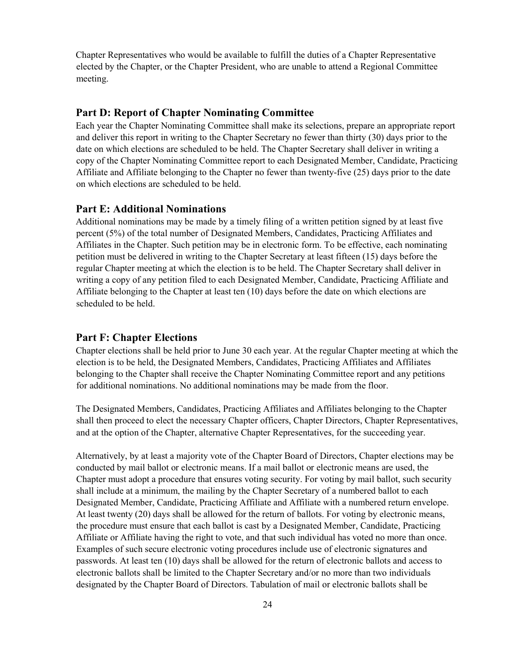Chapter Representatives who would be available to fulfill the duties of a Chapter Representative elected by the Chapter, or the Chapter President, who are unable to attend a Regional Committee meeting.

#### Part D: Report of Chapter Nominating Committee

Each year the Chapter Nominating Committee shall make its selections, prepare an appropriate report and deliver this report in writing to the Chapter Secretary no fewer than thirty (30) days prior to the date on which elections are scheduled to be held. The Chapter Secretary shall deliver in writing a copy of the Chapter Nominating Committee report to each Designated Member, Candidate, Practicing Affiliate and Affiliate belonging to the Chapter no fewer than twenty-five (25) days prior to the date on which elections are scheduled to be held.

#### Part E: Additional Nominations

Additional nominations may be made by a timely filing of a written petition signed by at least five percent (5%) of the total number of Designated Members, Candidates, Practicing Affiliates and Affiliates in the Chapter. Such petition may be in electronic form. To be effective, each nominating petition must be delivered in writing to the Chapter Secretary at least fifteen (15) days before the regular Chapter meeting at which the election is to be held. The Chapter Secretary shall deliver in writing a copy of any petition filed to each Designated Member, Candidate, Practicing Affiliate and Affiliate belonging to the Chapter at least ten (10) days before the date on which elections are scheduled to be held.

#### Part F: Chapter Elections

Chapter elections shall be held prior to June 30 each year. At the regular Chapter meeting at which the election is to be held, the Designated Members, Candidates, Practicing Affiliates and Affiliates belonging to the Chapter shall receive the Chapter Nominating Committee report and any petitions for additional nominations. No additional nominations may be made from the floor.

The Designated Members, Candidates, Practicing Affiliates and Affiliates belonging to the Chapter shall then proceed to elect the necessary Chapter officers, Chapter Directors, Chapter Representatives, and at the option of the Chapter, alternative Chapter Representatives, for the succeeding year.

Alternatively, by at least a majority vote of the Chapter Board of Directors, Chapter elections may be conducted by mail ballot or electronic means. If a mail ballot or electronic means are used, the Chapter must adopt a procedure that ensures voting security. For voting by mail ballot, such security shall include at a minimum, the mailing by the Chapter Secretary of a numbered ballot to each Designated Member, Candidate, Practicing Affiliate and Affiliate with a numbered return envelope. At least twenty (20) days shall be allowed for the return of ballots. For voting by electronic means, the procedure must ensure that each ballot is cast by a Designated Member, Candidate, Practicing Affiliate or Affiliate having the right to vote, and that such individual has voted no more than once. Examples of such secure electronic voting procedures include use of electronic signatures and passwords. At least ten (10) days shall be allowed for the return of electronic ballots and access to electronic ballots shall be limited to the Chapter Secretary and/or no more than two individuals designated by the Chapter Board of Directors. Tabulation of mail or electronic ballots shall be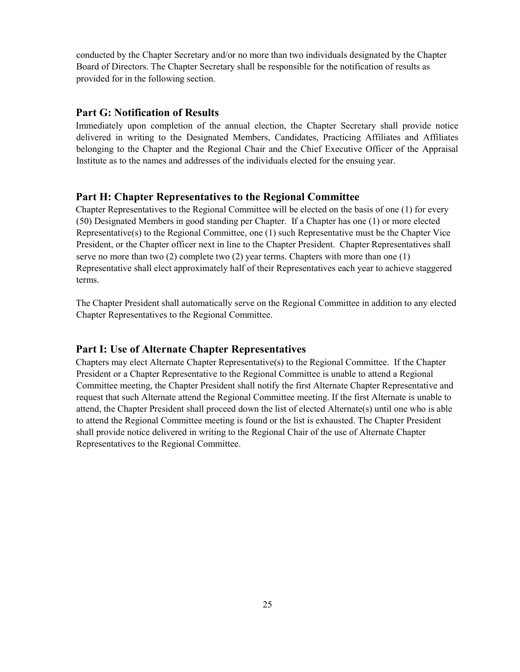conducted by the Chapter Secretary and/or no more than two individuals designated by the Chapter Board of Directors. The Chapter Secretary shall be responsible for the notification of results as provided for in the following section.

#### Part G: Notification of Results

Immediately upon completion of the annual election, the Chapter Secretary shall provide notice delivered in writing to the Designated Members, Candidates, Practicing Affiliates and Affiliates belonging to the Chapter and the Regional Chair and the Chief Executive Officer of the Appraisal Institute as to the names and addresses of the individuals elected for the ensuing year.

#### Part H: Chapter Representatives to the Regional Committee

Chapter Representatives to the Regional Committee will be elected on the basis of one (1) for every (50) Designated Members in good standing per Chapter. If a Chapter has one (1) or more elected Representative(s) to the Regional Committee, one (1) such Representative must be the Chapter Vice President, or the Chapter officer next in line to the Chapter President. Chapter Representatives shall serve no more than two (2) complete two (2) year terms. Chapters with more than one (1) Representative shall elect approximately half of their Representatives each year to achieve staggered terms.

The Chapter President shall automatically serve on the Regional Committee in addition to any elected Chapter Representatives to the Regional Committee.

#### Part I: Use of Alternate Chapter Representatives

Chapters may elect Alternate Chapter Representative(s) to the Regional Committee. If the Chapter President or a Chapter Representative to the Regional Committee is unable to attend a Regional Committee meeting, the Chapter President shall notify the first Alternate Chapter Representative and request that such Alternate attend the Regional Committee meeting. If the first Alternate is unable to attend, the Chapter President shall proceed down the list of elected Alternate(s) until one who is able to attend the Regional Committee meeting is found or the list is exhausted. The Chapter President shall provide notice delivered in writing to the Regional Chair of the use of Alternate Chapter Representatives to the Regional Committee.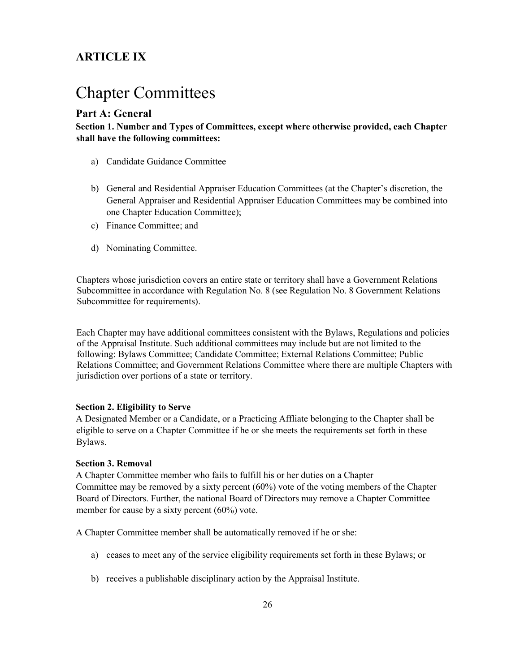# ARTICLE IX

# Chapter Committees

### Part A: General

Section 1. Number and Types of Committees, except where otherwise provided, each Chapter shall have the following committees:

- a) Candidate Guidance Committee
- b) General and Residential Appraiser Education Committees (at the Chapter's discretion, the General Appraiser and Residential Appraiser Education Committees may be combined into one Chapter Education Committee);
- c) Finance Committee; and
- d) Nominating Committee.

Chapters whose jurisdiction covers an entire state or territory shall have a Government Relations Subcommittee in accordance with Regulation No. 8 (see Regulation No. 8 Government Relations Subcommittee for requirements).

Each Chapter may have additional committees consistent with the Bylaws, Regulations and policies of the Appraisal Institute. Such additional committees may include but are not limited to the following: Bylaws Committee; Candidate Committee; External Relations Committee; Public Relations Committee; and Government Relations Committee where there are multiple Chapters with jurisdiction over portions of a state or territory.

#### Section 2. Eligibility to Serve

A Designated Member or a Candidate, or a Practicing Affliate belonging to the Chapter shall be eligible to serve on a Chapter Committee if he or she meets the requirements set forth in these Bylaws.

#### Section 3. Removal

A Chapter Committee member who fails to fulfill his or her duties on a Chapter Committee may be removed by a sixty percent (60%) vote of the voting members of the Chapter Board of Directors. Further, the national Board of Directors may remove a Chapter Committee member for cause by a sixty percent (60%) vote.

A Chapter Committee member shall be automatically removed if he or she:

- a) ceases to meet any of the service eligibility requirements set forth in these Bylaws; or
- b) receives a publishable disciplinary action by the Appraisal Institute.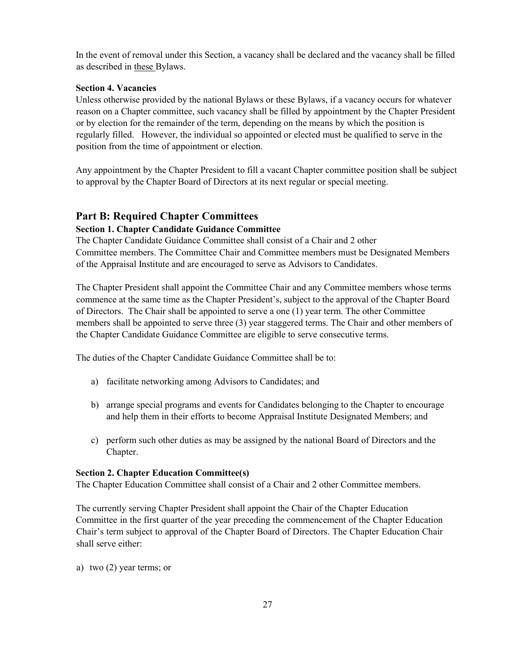In the event of removal under this Section, a vacancy shall be declared and the vacancy shall be filled as described in these Bylaws.

#### Section 4. Vacancies

Unless otherwise provided by the national Bylaws or these Bylaws, if a vacancy occurs for whatever reason on a Chapter committee, such vacancy shall be filled by appointment by the Chapter President or by election for the remainder of the term, depending on the means by which the position is regularly filled. However, the individual so appointed or elected must be qualified to serve in the position from the time of appointment or election.

Any appointment by the Chapter President to fill a vacant Chapter committee position shall be subject to approval by the Chapter Board of Directors at its next regular or special meeting.

#### Part B: Required Chapter Committees

#### Section 1. Chapter Candidate Guidance Committee

The Chapter Candidate Guidance Committee shall consist of a Chair and 2 other Committee members. The Committee Chair and Committee members must be Designated Members of the Appraisal Institute and are encouraged to serve as Advisors to Candidates.

The Chapter President shall appoint the Committee Chair and any Committee members whose terms commence at the same time as the Chapter President's, subject to the approval of the Chapter Board of Directors. The Chair shall be appointed to serve a one (1) year term. The other Committee members shall be appointed to serve three (3) year staggered terms. The Chair and other members of the Chapter Candidate Guidance Committee are eligible to serve consecutive terms.

The duties of the Chapter Candidate Guidance Committee shall be to:

- a) facilitate networking among Advisors to Candidates; and
- b) arrange special programs and events for Candidates belonging to the Chapter to encourage and help them in their efforts to become Appraisal Institute Designated Members; and
- c) perform such other duties as may be assigned by the national Board of Directors and the Chapter.

#### Section 2. Chapter Education Committee(s)

The Chapter Education Committee shall consist of a Chair and 2 other Committee members.

The currently serving Chapter President shall appoint the Chair of the Chapter Education Committee in the first quarter of the year preceding the commencement of the Chapter Education Chair's term subject to approval of the Chapter Board of Directors. The Chapter Education Chair shall serve either:

a) two (2) year terms; or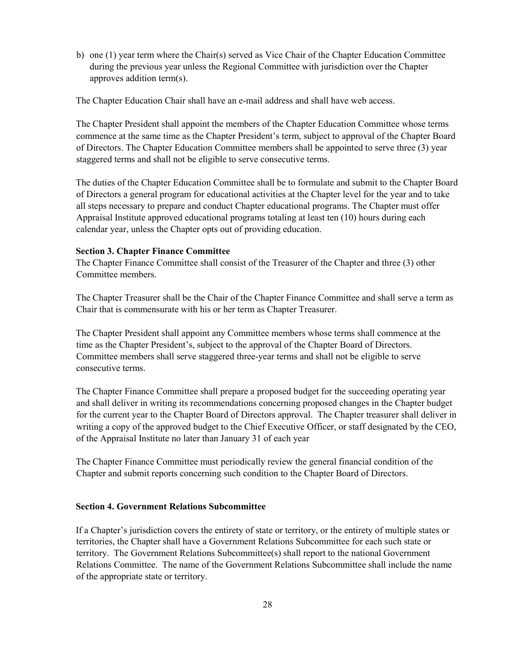b) one (1) year term where the Chair(s) served as Vice Chair of the Chapter Education Committee during the previous year unless the Regional Committee with jurisdiction over the Chapter approves addition term(s).

The Chapter Education Chair shall have an e-mail address and shall have web access.

The Chapter President shall appoint the members of the Chapter Education Committee whose terms commence at the same time as the Chapter President's term, subject to approval of the Chapter Board of Directors. The Chapter Education Committee members shall be appointed to serve three (3) year staggered terms and shall not be eligible to serve consecutive terms.

The duties of the Chapter Education Committee shall be to formulate and submit to the Chapter Board of Directors a general program for educational activities at the Chapter level for the year and to take all steps necessary to prepare and conduct Chapter educational programs. The Chapter must offer Appraisal Institute approved educational programs totaling at least ten (10) hours during each calendar year, unless the Chapter opts out of providing education.

#### Section 3. Chapter Finance Committee

The Chapter Finance Committee shall consist of the Treasurer of the Chapter and three (3) other Committee members.

The Chapter Treasurer shall be the Chair of the Chapter Finance Committee and shall serve a term as Chair that is commensurate with his or her term as Chapter Treasurer.

The Chapter President shall appoint any Committee members whose terms shall commence at the time as the Chapter President's, subject to the approval of the Chapter Board of Directors. Committee members shall serve staggered three-year terms and shall not be eligible to serve consecutive terms.

The Chapter Finance Committee shall prepare a proposed budget for the succeeding operating year and shall deliver in writing its recommendations concerning proposed changes in the Chapter budget for the current year to the Chapter Board of Directors approval. The Chapter treasurer shall deliver in writing a copy of the approved budget to the Chief Executive Officer, or staff designated by the CEO, of the Appraisal Institute no later than January 31 of each year

The Chapter Finance Committee must periodically review the general financial condition of the Chapter and submit reports concerning such condition to the Chapter Board of Directors.

#### Section 4. Government Relations Subcommittee

If a Chapter's jurisdiction covers the entirety of state or territory, or the entirety of multiple states or territories, the Chapter shall have a Government Relations Subcommittee for each such state or territory. The Government Relations Subcommittee(s) shall report to the national Government Relations Committee. The name of the Government Relations Subcommittee shall include the name of the appropriate state or territory.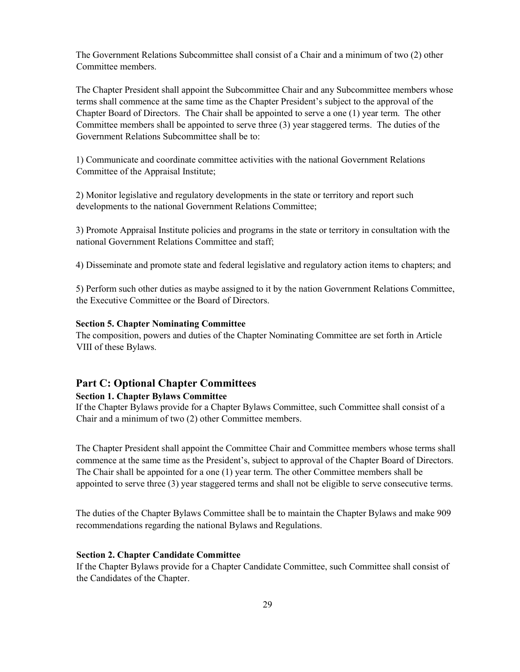The Government Relations Subcommittee shall consist of a Chair and a minimum of two (2) other Committee members.

The Chapter President shall appoint the Subcommittee Chair and any Subcommittee members whose terms shall commence at the same time as the Chapter President's subject to the approval of the Chapter Board of Directors. The Chair shall be appointed to serve a one (1) year term. The other Committee members shall be appointed to serve three (3) year staggered terms. The duties of the Government Relations Subcommittee shall be to:

1) Communicate and coordinate committee activities with the national Government Relations Committee of the Appraisal Institute;

2) Monitor legislative and regulatory developments in the state or territory and report such developments to the national Government Relations Committee;

3) Promote Appraisal Institute policies and programs in the state or territory in consultation with the national Government Relations Committee and staff;

4) Disseminate and promote state and federal legislative and regulatory action items to chapters; and

5) Perform such other duties as maybe assigned to it by the nation Government Relations Committee, the Executive Committee or the Board of Directors.

#### Section 5. Chapter Nominating Committee

The composition, powers and duties of the Chapter Nominating Committee are set forth in Article VIII of these Bylaws.

#### Part C: Optional Chapter Committees

#### Section 1. Chapter Bylaws Committee

If the Chapter Bylaws provide for a Chapter Bylaws Committee, such Committee shall consist of a Chair and a minimum of two (2) other Committee members.

The Chapter President shall appoint the Committee Chair and Committee members whose terms shall commence at the same time as the President's, subject to approval of the Chapter Board of Directors. The Chair shall be appointed for a one (1) year term. The other Committee members shall be appointed to serve three (3) year staggered terms and shall not be eligible to serve consecutive terms.

The duties of the Chapter Bylaws Committee shall be to maintain the Chapter Bylaws and make 909 recommendations regarding the national Bylaws and Regulations.

#### Section 2. Chapter Candidate Committee

If the Chapter Bylaws provide for a Chapter Candidate Committee, such Committee shall consist of the Candidates of the Chapter.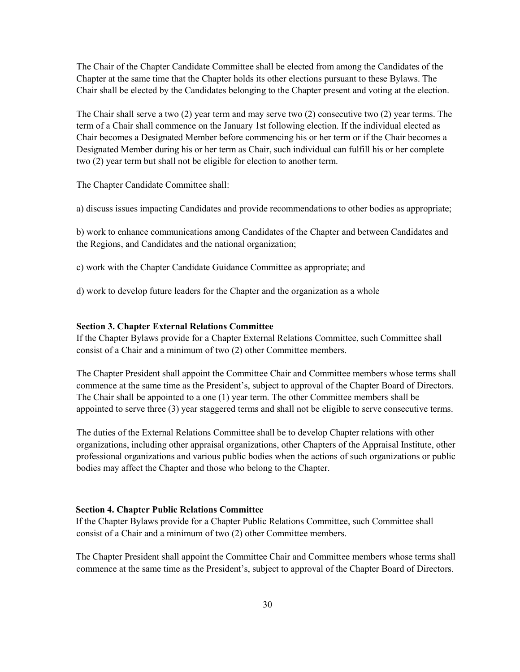The Chair of the Chapter Candidate Committee shall be elected from among the Candidates of the Chapter at the same time that the Chapter holds its other elections pursuant to these Bylaws. The Chair shall be elected by the Candidates belonging to the Chapter present and voting at the election.

The Chair shall serve a two (2) year term and may serve two (2) consecutive two (2) year terms. The term of a Chair shall commence on the January 1st following election. If the individual elected as Chair becomes a Designated Member before commencing his or her term or if the Chair becomes a Designated Member during his or her term as Chair, such individual can fulfill his or her complete two (2) year term but shall not be eligible for election to another term.

The Chapter Candidate Committee shall:

a) discuss issues impacting Candidates and provide recommendations to other bodies as appropriate;

b) work to enhance communications among Candidates of the Chapter and between Candidates and the Regions, and Candidates and the national organization;

c) work with the Chapter Candidate Guidance Committee as appropriate; and

d) work to develop future leaders for the Chapter and the organization as a whole

#### Section 3. Chapter External Relations Committee

If the Chapter Bylaws provide for a Chapter External Relations Committee, such Committee shall consist of a Chair and a minimum of two (2) other Committee members.

The Chapter President shall appoint the Committee Chair and Committee members whose terms shall commence at the same time as the President's, subject to approval of the Chapter Board of Directors. The Chair shall be appointed to a one (1) year term. The other Committee members shall be appointed to serve three (3) year staggered terms and shall not be eligible to serve consecutive terms.

The duties of the External Relations Committee shall be to develop Chapter relations with other organizations, including other appraisal organizations, other Chapters of the Appraisal Institute, other professional organizations and various public bodies when the actions of such organizations or public bodies may affect the Chapter and those who belong to the Chapter.

#### Section 4. Chapter Public Relations Committee

If the Chapter Bylaws provide for a Chapter Public Relations Committee, such Committee shall consist of a Chair and a minimum of two (2) other Committee members.

The Chapter President shall appoint the Committee Chair and Committee members whose terms shall commence at the same time as the President's, subject to approval of the Chapter Board of Directors.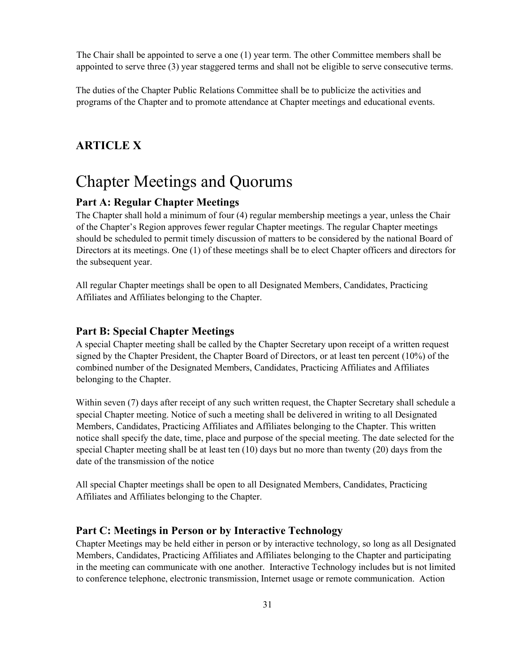The Chair shall be appointed to serve a one (1) year term. The other Committee members shall be appointed to serve three (3) year staggered terms and shall not be eligible to serve consecutive terms.

The duties of the Chapter Public Relations Committee shall be to publicize the activities and programs of the Chapter and to promote attendance at Chapter meetings and educational events.

# ARTICLE X

# Chapter Meetings and Quorums

#### Part A: Regular Chapter Meetings

The Chapter shall hold a minimum of four (4) regular membership meetings a year, unless the Chair of the Chapter's Region approves fewer regular Chapter meetings. The regular Chapter meetings should be scheduled to permit timely discussion of matters to be considered by the national Board of Directors at its meetings. One (1) of these meetings shall be to elect Chapter officers and directors for the subsequent year.

All regular Chapter meetings shall be open to all Designated Members, Candidates, Practicing Affiliates and Affiliates belonging to the Chapter.

#### Part B: Special Chapter Meetings

A special Chapter meeting shall be called by the Chapter Secretary upon receipt of a written request signed by the Chapter President, the Chapter Board of Directors, or at least ten percent (10%) of the combined number of the Designated Members, Candidates, Practicing Affiliates and Affiliates belonging to the Chapter.

Within seven (7) days after receipt of any such written request, the Chapter Secretary shall schedule a special Chapter meeting. Notice of such a meeting shall be delivered in writing to all Designated Members, Candidates, Practicing Affiliates and Affiliates belonging to the Chapter. This written notice shall specify the date, time, place and purpose of the special meeting. The date selected for the special Chapter meeting shall be at least ten (10) days but no more than twenty (20) days from the date of the transmission of the notice

All special Chapter meetings shall be open to all Designated Members, Candidates, Practicing Affiliates and Affiliates belonging to the Chapter.

#### Part C: Meetings in Person or by Interactive Technology

Chapter Meetings may be held either in person or by interactive technology, so long as all Designated Members, Candidates, Practicing Affiliates and Affiliates belonging to the Chapter and participating in the meeting can communicate with one another. Interactive Technology includes but is not limited to conference telephone, electronic transmission, Internet usage or remote communication. Action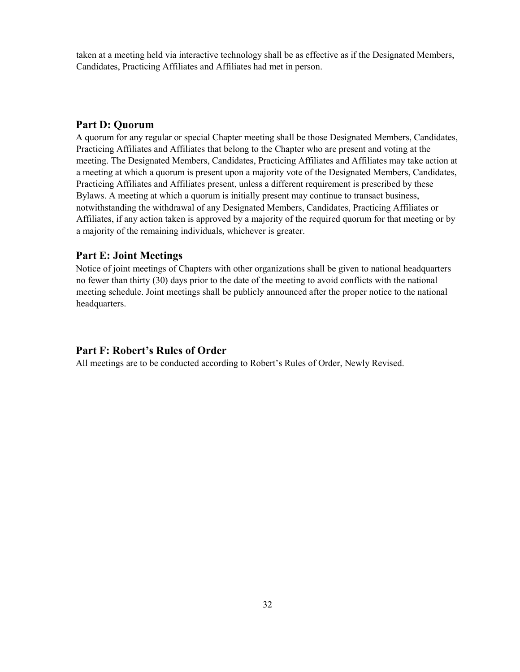taken at a meeting held via interactive technology shall be as effective as if the Designated Members, Candidates, Practicing Affiliates and Affiliates had met in person.

#### Part D: Quorum

A quorum for any regular or special Chapter meeting shall be those Designated Members, Candidates, Practicing Affiliates and Affiliates that belong to the Chapter who are present and voting at the meeting. The Designated Members, Candidates, Practicing Affiliates and Affiliates may take action at a meeting at which a quorum is present upon a majority vote of the Designated Members, Candidates, Practicing Affiliates and Affiliates present, unless a different requirement is prescribed by these Bylaws. A meeting at which a quorum is initially present may continue to transact business, notwithstanding the withdrawal of any Designated Members, Candidates, Practicing Affiliates or Affiliates, if any action taken is approved by a majority of the required quorum for that meeting or by a majority of the remaining individuals, whichever is greater.

#### Part E: Joint Meetings

Notice of joint meetings of Chapters with other organizations shall be given to national headquarters no fewer than thirty (30) days prior to the date of the meeting to avoid conflicts with the national meeting schedule. Joint meetings shall be publicly announced after the proper notice to the national headquarters.

#### Part F: Robert's Rules of Order

All meetings are to be conducted according to Robert's Rules of Order, Newly Revised.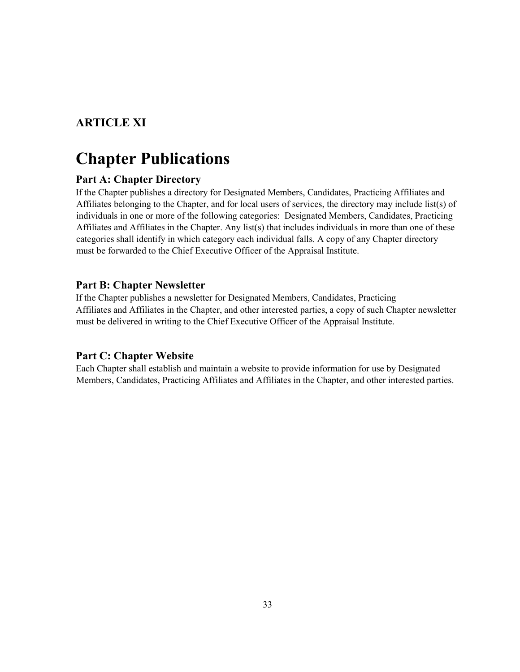# ARTICLE XI

# Chapter Publications

## Part A: Chapter Directory

If the Chapter publishes a directory for Designated Members, Candidates, Practicing Affiliates and Affiliates belonging to the Chapter, and for local users of services, the directory may include list(s) of individuals in one or more of the following categories: Designated Members, Candidates, Practicing Affiliates and Affiliates in the Chapter. Any list(s) that includes individuals in more than one of these categories shall identify in which category each individual falls. A copy of any Chapter directory must be forwarded to the Chief Executive Officer of the Appraisal Institute.

### Part B: Chapter Newsletter

If the Chapter publishes a newsletter for Designated Members, Candidates, Practicing Affiliates and Affiliates in the Chapter, and other interested parties, a copy of such Chapter newsletter must be delivered in writing to the Chief Executive Officer of the Appraisal Institute.

### Part C: Chapter Website

Each Chapter shall establish and maintain a website to provide information for use by Designated Members, Candidates, Practicing Affiliates and Affiliates in the Chapter, and other interested parties.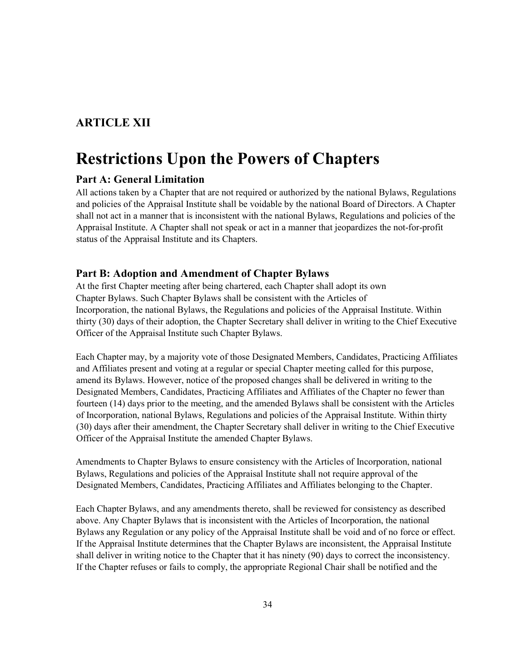# ARTICLE XII

# Restrictions Upon the Powers of Chapters

#### Part A: General Limitation

All actions taken by a Chapter that are not required or authorized by the national Bylaws, Regulations and policies of the Appraisal Institute shall be voidable by the national Board of Directors. A Chapter shall not act in a manner that is inconsistent with the national Bylaws, Regulations and policies of the Appraisal Institute. A Chapter shall not speak or act in a manner that jeopardizes the not-for-profit status of the Appraisal Institute and its Chapters.

#### Part B: Adoption and Amendment of Chapter Bylaws

At the first Chapter meeting after being chartered, each Chapter shall adopt its own Chapter Bylaws. Such Chapter Bylaws shall be consistent with the Articles of Incorporation, the national Bylaws, the Regulations and policies of the Appraisal Institute. Within thirty (30) days of their adoption, the Chapter Secretary shall deliver in writing to the Chief Executive Officer of the Appraisal Institute such Chapter Bylaws.

Each Chapter may, by a majority vote of those Designated Members, Candidates, Practicing Affiliates and Affiliates present and voting at a regular or special Chapter meeting called for this purpose, amend its Bylaws. However, notice of the proposed changes shall be delivered in writing to the Designated Members, Candidates, Practicing Affiliates and Affiliates of the Chapter no fewer than fourteen (14) days prior to the meeting, and the amended Bylaws shall be consistent with the Articles of Incorporation, national Bylaws, Regulations and policies of the Appraisal Institute. Within thirty (30) days after their amendment, the Chapter Secretary shall deliver in writing to the Chief Executive Officer of the Appraisal Institute the amended Chapter Bylaws.

Amendments to Chapter Bylaws to ensure consistency with the Articles of Incorporation, national Bylaws, Regulations and policies of the Appraisal Institute shall not require approval of the Designated Members, Candidates, Practicing Affiliates and Affiliates belonging to the Chapter.

Each Chapter Bylaws, and any amendments thereto, shall be reviewed for consistency as described above. Any Chapter Bylaws that is inconsistent with the Articles of Incorporation, the national Bylaws any Regulation or any policy of the Appraisal Institute shall be void and of no force or effect. If the Appraisal Institute determines that the Chapter Bylaws are inconsistent, the Appraisal Institute shall deliver in writing notice to the Chapter that it has ninety (90) days to correct the inconsistency. If the Chapter refuses or fails to comply, the appropriate Regional Chair shall be notified and the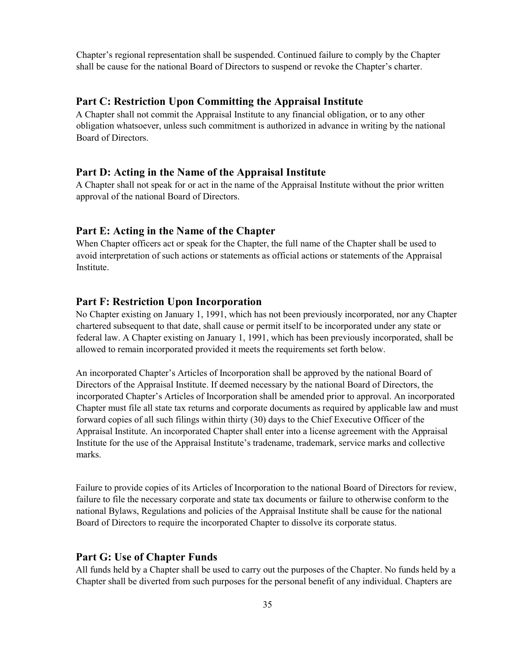Chapter's regional representation shall be suspended. Continued failure to comply by the Chapter shall be cause for the national Board of Directors to suspend or revoke the Chapter's charter.

#### Part C: Restriction Upon Committing the Appraisal Institute

A Chapter shall not commit the Appraisal Institute to any financial obligation, or to any other obligation whatsoever, unless such commitment is authorized in advance in writing by the national Board of Directors.

#### Part D: Acting in the Name of the Appraisal Institute

A Chapter shall not speak for or act in the name of the Appraisal Institute without the prior written approval of the national Board of Directors.

#### Part E: Acting in the Name of the Chapter

When Chapter officers act or speak for the Chapter, the full name of the Chapter shall be used to avoid interpretation of such actions or statements as official actions or statements of the Appraisal Institute.

#### Part F: Restriction Upon Incorporation

No Chapter existing on January 1, 1991, which has not been previously incorporated, nor any Chapter chartered subsequent to that date, shall cause or permit itself to be incorporated under any state or federal law. A Chapter existing on January 1, 1991, which has been previously incorporated, shall be allowed to remain incorporated provided it meets the requirements set forth below.

An incorporated Chapter's Articles of Incorporation shall be approved by the national Board of Directors of the Appraisal Institute. If deemed necessary by the national Board of Directors, the incorporated Chapter's Articles of Incorporation shall be amended prior to approval. An incorporated Chapter must file all state tax returns and corporate documents as required by applicable law and must forward copies of all such filings within thirty (30) days to the Chief Executive Officer of the Appraisal Institute. An incorporated Chapter shall enter into a license agreement with the Appraisal Institute for the use of the Appraisal Institute's tradename, trademark, service marks and collective marks.

Failure to provide copies of its Articles of Incorporation to the national Board of Directors for review, failure to file the necessary corporate and state tax documents or failure to otherwise conform to the national Bylaws, Regulations and policies of the Appraisal Institute shall be cause for the national Board of Directors to require the incorporated Chapter to dissolve its corporate status.

#### Part G: Use of Chapter Funds

All funds held by a Chapter shall be used to carry out the purposes of the Chapter. No funds held by a Chapter shall be diverted from such purposes for the personal benefit of any individual. Chapters are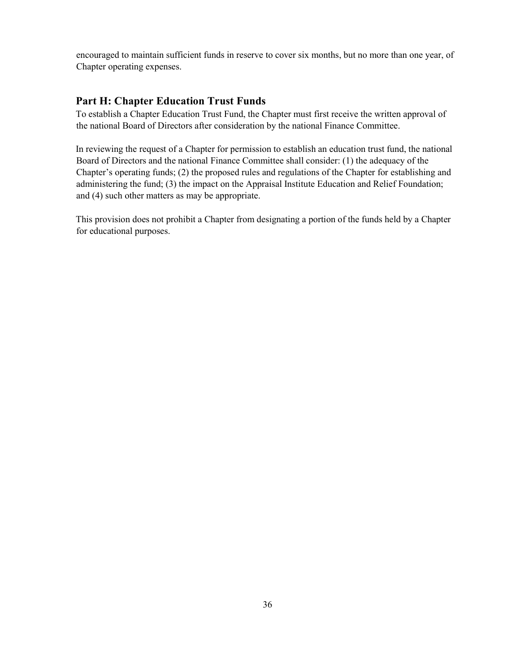encouraged to maintain sufficient funds in reserve to cover six months, but no more than one year, of Chapter operating expenses.

#### Part H: Chapter Education Trust Funds

To establish a Chapter Education Trust Fund, the Chapter must first receive the written approval of the national Board of Directors after consideration by the national Finance Committee.

In reviewing the request of a Chapter for permission to establish an education trust fund, the national Board of Directors and the national Finance Committee shall consider: (1) the adequacy of the Chapter's operating funds; (2) the proposed rules and regulations of the Chapter for establishing and administering the fund; (3) the impact on the Appraisal Institute Education and Relief Foundation; and (4) such other matters as may be appropriate.

This provision does not prohibit a Chapter from designating a portion of the funds held by a Chapter for educational purposes.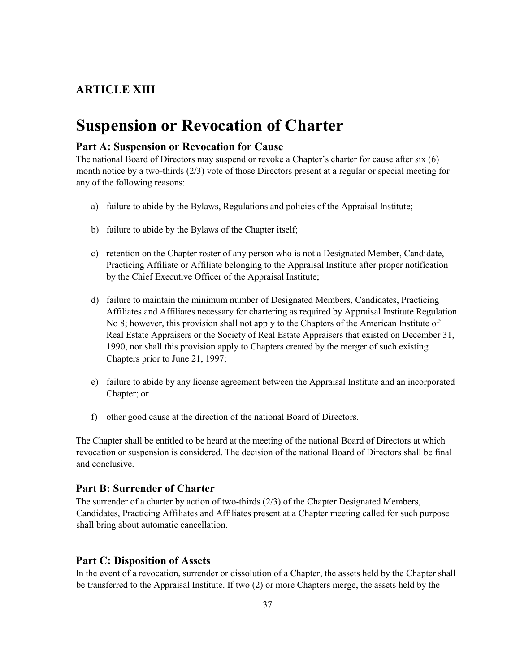# ARTICLE XIII

# Suspension or Revocation of Charter

#### Part A: Suspension or Revocation for Cause

The national Board of Directors may suspend or revoke a Chapter's charter for cause after six (6) month notice by a two-thirds (2/3) vote of those Directors present at a regular or special meeting for any of the following reasons:

- a) failure to abide by the Bylaws, Regulations and policies of the Appraisal Institute;
- b) failure to abide by the Bylaws of the Chapter itself;
- c) retention on the Chapter roster of any person who is not a Designated Member, Candidate, Practicing Affiliate or Affiliate belonging to the Appraisal Institute after proper notification by the Chief Executive Officer of the Appraisal Institute;
- d) failure to maintain the minimum number of Designated Members, Candidates, Practicing Affiliates and Affiliates necessary for chartering as required by Appraisal Institute Regulation No 8; however, this provision shall not apply to the Chapters of the American Institute of Real Estate Appraisers or the Society of Real Estate Appraisers that existed on December 31, 1990, nor shall this provision apply to Chapters created by the merger of such existing Chapters prior to June 21, 1997;
- e) failure to abide by any license agreement between the Appraisal Institute and an incorporated Chapter; or
- f) other good cause at the direction of the national Board of Directors.

The Chapter shall be entitled to be heard at the meeting of the national Board of Directors at which revocation or suspension is considered. The decision of the national Board of Directors shall be final and conclusive.

#### Part B: Surrender of Charter

The surrender of a charter by action of two-thirds (2/3) of the Chapter Designated Members, Candidates, Practicing Affiliates and Affiliates present at a Chapter meeting called for such purpose shall bring about automatic cancellation.

#### Part C: Disposition of Assets

In the event of a revocation, surrender or dissolution of a Chapter, the assets held by the Chapter shall be transferred to the Appraisal Institute. If two (2) or more Chapters merge, the assets held by the